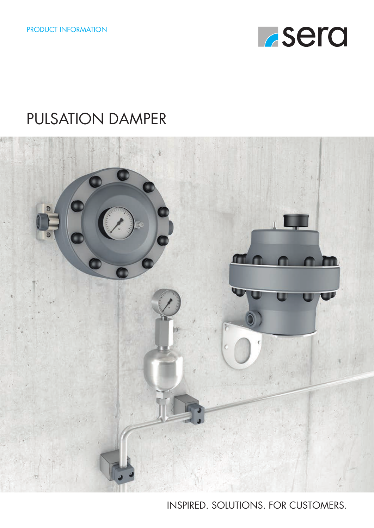

### PULSATION DAMPER



INSPIRED. SOLUTIONS. FOR CUSTOMERS.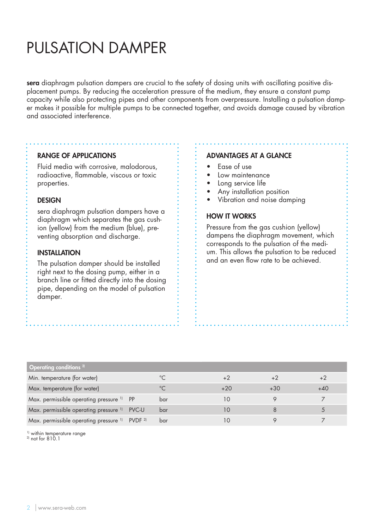### PULSATION DAMPER

sera diaphragm pulsation dampers are crucial to the safety of dosing units with oscillating positive displacement pumps. By reducing the acceleration pressure of the medium, they ensure a constant pump capacity while also protecting pipes and other components from overpressure. Installing a pulsation damper makes it possible for multiple pumps to be connected together, and avoids damage caused by vibration and associated interference.

#### RANGE OF APPLICATIONS

Fluid media with corrosive, malodorous, radioactive, flammable, viscous or toxic properties.

#### DESIGN

sera diaphragm pulsation dampers have a diaphragm which separates the gas cushion (yellow) from the medium (blue), preventing absorption and discharge.

### INSTALLATION

The pulsation damper should be installed right next to the dosing pump, either in a branch line or fitted directly into the dosing pipe, depending on the model of pulsation damper.

#### ADVANTAGES AT A GLANCE

- Ease of use
- Low maintenance
- Long service life
- Any installation position
- Vibration and noise damping

### HOW IT WORKS

Pressure from the gas cushion (yellow) dampens the diaphragm movement, which corresponds to the pulsation of the medium. This allows the pulsation to be reduced and an even flow rate to be achieved.

| Operating conditions $2)$                                            |       |     |                   |       |       |
|----------------------------------------------------------------------|-------|-----|-------------------|-------|-------|
| Min. temperature (for water)                                         |       |     |                   |       |       |
| Max. temperature (for water)                                         |       |     | $+20$             | $+30$ | $+40$ |
| Max. permissible operating pressure <sup>1)</sup> PP                 |       | bar | 10                |       |       |
| Max. permissible operating pressure 1)                               | PVC-U | bar | $\overline{1}$ () |       |       |
| Max. permissible operating pressure <sup>1)</sup> PVDF <sup>2)</sup> |       | bar |                   |       |       |

<sup>1)</sup> within temperature range

2) not for 810.1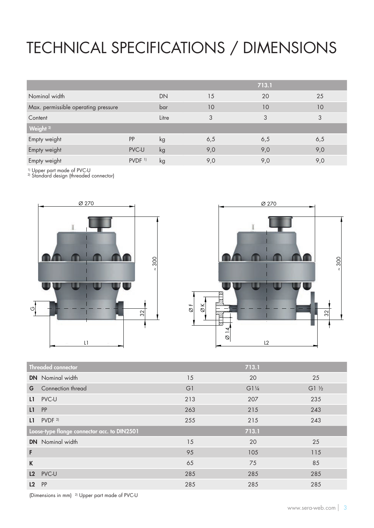# TECHNICAL SPECIFICATIONS / DIMENSIONS

|                                     |                      |       |     | 713.1 |     |
|-------------------------------------|----------------------|-------|-----|-------|-----|
| Nominal width                       |                      | DN    | 15  | 20    | 25  |
| Max. permissible operating pressure |                      | bar   | 10  | 10    | 10  |
| Content                             |                      | Litre | 3   | 3     | 3   |
| Weight <sup>2)</sup>                |                      |       |     |       |     |
| Empty weight                        | PP                   | kg    | 6,5 | 6,5   | 6,5 |
| Empty weight                        | PVC-U                | kg    | 9,0 | 9,0   | 9,0 |
| Empty weight                        | $PVDF$ <sup>1)</sup> | kg    | 9,0 | 9,0   | 9,0 |

1) Upper part made of PVC-U

<sup>2)</sup> Standard design (threaded connector)





| 15             | 20              | 25         |
|----------------|-----------------|------------|
| G <sub>1</sub> | $G1\frac{1}{4}$ | $G1$ $V_2$ |
| 213            | 207             | 235        |
| 263            | 215             | 243        |
| 255            | 215             | 243        |
|                | 713.1           |            |
| 15             | 20              | 25         |
| 95             | 105             | 115        |
| 65             | 75              | 85         |
| 285            | 285             | 285        |
| 285            | 285             | 285        |
|                |                 | 713.1      |

(Dimensions in mm) 2) Upper part made of PVC-U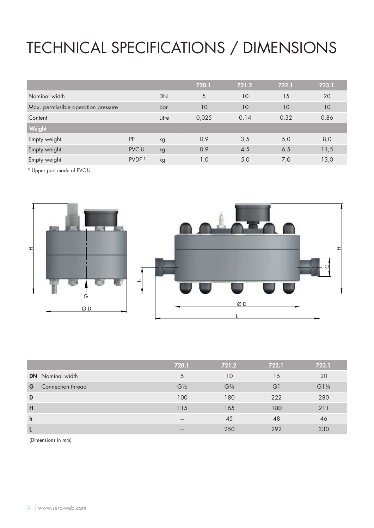## TECHNICAL SPECIFICATIONS / DIMENSIONS

|                                     |                      |       | 720.1 | 721.2 | 722.1 | 723.1 |
|-------------------------------------|----------------------|-------|-------|-------|-------|-------|
| Nominal width                       |                      | DN    | 5     | 10    | 15    | 20    |
| Max. permissible operation pressure |                      | bar   | 10    | 10    | 10    | 10    |
| Content                             |                      | Litre | 0,025 | 0,14  | 0,32  | 0,86  |
| Weight                              |                      |       |       |       |       |       |
| Empty weight                        | <b>PP</b>            | kg    | 0,9   | 3,5   | 5,0   | 8,0   |
| Empty weight                        | PVC-U                | kg    | 0,9   | 4,5   | 6,5   | 11,5  |
| Empty weight                        | $PVDF$ <sup>1)</sup> | kg    | 1,0   | 5,0   | 7,0   | 13,0  |

1) Upper part made of PVC-U



|              |                         | 720.1          | 721.2                         | 722.1 | 723.1           |
|--------------|-------------------------|----------------|-------------------------------|-------|-----------------|
|              | <b>DN</b> Nominal width | 5              | 10                            | 15    | 20              |
| G            | Connection thread       | $G\frac{1}{2}$ | G <sup>3</sup> / <sub>4</sub> | G1    | $G1\frac{1}{4}$ |
| D            |                         | 100            | 180                           | 222   | 280             |
| H            |                         | 115            | 165                           | 180   | 211             |
| $\mathsf{h}$ |                         | ---            | 45                            | 48    | 46              |
| L            |                         |                | 250                           | 292   | 330             |
|              |                         |                |                               |       |                 |

(Dimensions in mm)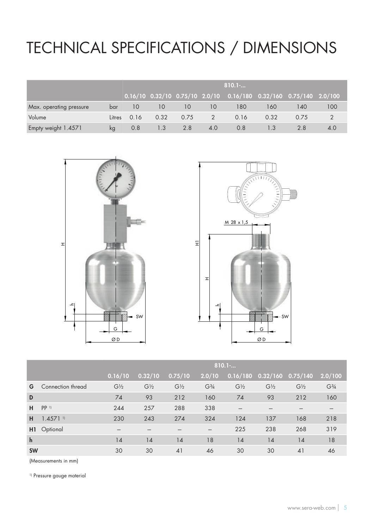## TECHNICAL SPECIFICATIONS / DIMENSIONS

|                         |        |      | 810.1 |      |     |                                                                                   |      |      |     |  |  |  |  |  |  |
|-------------------------|--------|------|-------|------|-----|-----------------------------------------------------------------------------------|------|------|-----|--|--|--|--|--|--|
|                         |        |      |       |      |     | $0.16/10$ $0.32/10$ $0.75/10$ $2.0/10$ $0.16/180$ $0.32/160$ $0.75/140$ $2.0/100$ |      |      |     |  |  |  |  |  |  |
| Max. operating pressure | bar    | 10   | 10    | 10   | 10  | 180                                                                               | 160  | 140  | 100 |  |  |  |  |  |  |
| Volume                  | Litres | 0.16 | 0.32  | 0.75 | 2   | 0.16                                                                              | 0.32 | 0.75 |     |  |  |  |  |  |  |
| Empty weight 1.4571     | kq     | 0.8  | 1.3   | 2.8  | 4.0 | 0.8                                                                               |      | 2.8  | 4.0 |  |  |  |  |  |  |





|                | 810.1             |                |                               |                |                |                |                               |  |  |  |  |  |  |
|----------------|-------------------|----------------|-------------------------------|----------------|----------------|----------------|-------------------------------|--|--|--|--|--|--|
|                | 0.32/10           |                | 2.0/10                        | 0.16/180       |                |                | 2.0/100                       |  |  |  |  |  |  |
| $G\frac{1}{2}$ | $G\frac{1}{2}$    | $G\frac{1}{2}$ | G <sup>3</sup> / <sub>4</sub> | $G\frac{1}{2}$ | $G\frac{1}{2}$ | $G\frac{1}{2}$ | G <sup>3</sup> / <sub>4</sub> |  |  |  |  |  |  |
| 74             | 93                | 212            | 160                           | 74             | 93             | 212            | 160                           |  |  |  |  |  |  |
| 244            | 257               | 288            | 338                           | ---            |                |                |                               |  |  |  |  |  |  |
| 230            | 243               | 274            | 324                           | 124            | 137            | 168            | 218                           |  |  |  |  |  |  |
|                |                   |                |                               | 225            | 238            | 268            | 319                           |  |  |  |  |  |  |
| 14             | 14                | 14             | 18                            | 14             | 14             | 14             | 18                            |  |  |  |  |  |  |
| 30             | 30                | 41             | 46                            | 30             | 30             | 41             | 46                            |  |  |  |  |  |  |
|                | Connection thread | 0.16/10        |                               | 0.75/10        |                |                | 0.32/160<br>$\sqrt{0.75}/140$ |  |  |  |  |  |  |

(Measurements in mm)

<sup>1)</sup> Pressure gauge material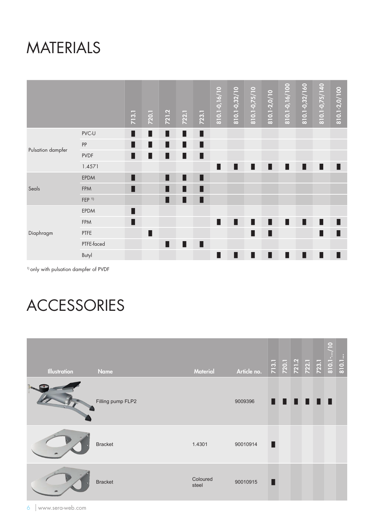### MATERIALS

|                   |                  | 713.1 | 720.1 | 721.2 | 722.1 | 723.1 | 810.1-0,16/10 | 810.1-0,32/10 | $\frac{1}{8}$ 10.1-0,75/10 | 810.1-2,0/10 | $\frac{1}{8}$ 10.1-0,16/100 | 810.1-0,32/160 | 810.1-0,75/140 | 810.1-2,0/100 |
|-------------------|------------------|-------|-------|-------|-------|-------|---------------|---------------|----------------------------|--------------|-----------------------------|----------------|----------------|---------------|
| Pulsation dampfer | PVC-U            | п     | п     | п     | п     | п     |               |               |                            |              |                             |                |                |               |
|                   | PP               | п     | ш     | п     | П     | П     |               |               |                            |              |                             |                |                |               |
|                   | <b>PVDF</b>      | ٠     | П     | П     | п     | П     |               |               |                            |              |                             |                |                |               |
|                   | 1.4571           |       |       |       |       |       | П             | П             | п                          | п            | п                           | п              | п              | П             |
|                   | EPDM             |       |       | П     | ш     | П     |               |               |                            |              |                             |                |                |               |
| Seals             | <b>FPM</b>       |       |       | Ш     |       |       |               |               |                            |              |                             |                |                |               |
|                   | FEP <sup>1</sup> |       |       | П     | п     | Г     |               |               |                            |              |                             |                |                |               |
|                   | <b>EPDM</b>      |       |       |       |       |       |               |               |                            |              |                             |                |                |               |
|                   | FPM              | П     |       |       |       |       | П             | П             | П                          | ш            | п                           | п              | П              | П             |
| Diaphragm         | PTFE             |       | П     |       |       |       |               |               |                            |              |                             |                |                | п             |
|                   | PTFE-faced       |       |       | П     | П     | п     |               |               |                            |              |                             |                |                |               |
|                   | Butyl            |       |       |       |       |       | П             | П             | п                          | П            | п                           | п              | п              | П             |

1) only with pulsation dampfer of PVDF

## ACCESSORIES

| <b>Illustration</b> | <b>Name</b>       | <b>Material</b>   | Article no. | 713.1<br>720.1<br>721.2<br>723.1<br>810.1<br>810.1 |      |   |  | $\hspace{1.5cm}(\hspace{1.5cm}$ |  |
|---------------------|-------------------|-------------------|-------------|----------------------------------------------------|------|---|--|---------------------------------|--|
|                     | Filling pump FLP2 |                   | 9009396     |                                                    | 88 O | H |  |                                 |  |
|                     | <b>Bracket</b>    | 1.4301            | 90010914    |                                                    |      |   |  |                                 |  |
|                     | <b>Bracket</b>    | Coloured<br>steel | 90010915    |                                                    |      |   |  |                                 |  |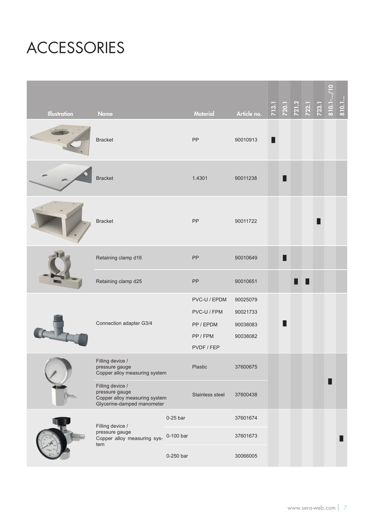## ACCESSORIES

| <b>Illustration</b> | <b>Name</b>                                                                                       |            | <b>Material</b>                                                    | Article no.                                  |   | 713.1<br>720.1<br>721.2<br>722.1<br>723.1 |  | 810.1 | 810.1 |
|---------------------|---------------------------------------------------------------------------------------------------|------------|--------------------------------------------------------------------|----------------------------------------------|---|-------------------------------------------|--|-------|-------|
|                     | <b>Bracket</b>                                                                                    |            | PP                                                                 | 90010913                                     |   |                                           |  |       |       |
|                     | <b>Bracket</b>                                                                                    |            | 1.4301                                                             | 90011238                                     | ▉ |                                           |  |       |       |
|                     | <b>Bracket</b>                                                                                    | PP         | 90011722                                                           |                                              |   |                                           |  |       |       |
|                     | Retaining clamp d16                                                                               | PP         | 90010649                                                           | п                                            |   |                                           |  |       |       |
|                     | Retaining clamp d25                                                                               | PP         | 90010651                                                           |                                              |   |                                           |  |       |       |
|                     | Connection adapter G3/4                                                                           |            | PVC-U / EPDM<br>PVC-U / FPM<br>PP / EPDM<br>PP / FPM<br>PVDF / FEP | 90025079<br>90021733<br>90038083<br>90038082 | ■ |                                           |  |       |       |
|                     | Filling device /<br>pressure gauge<br>Copper alloy measuring system                               |            | Plastic                                                            | 37600675                                     |   |                                           |  |       |       |
|                     | Filling device /<br>pressure gauge<br>Copper alloy measuring system<br>Glycerine-damped manometer |            | Stainless steel                                                    | 37600438                                     |   |                                           |  |       |       |
|                     | Filling device /                                                                                  | $0-25$ bar |                                                                    | 37601674                                     |   |                                           |  |       |       |
|                     | pressure gauge<br>Copper alloy measuring sys-<br>tem                                              | 0-100 bar  |                                                                    | 37601673                                     |   |                                           |  |       |       |
|                     |                                                                                                   | 0-250 bar  |                                                                    | 30066005                                     |   |                                           |  |       |       |